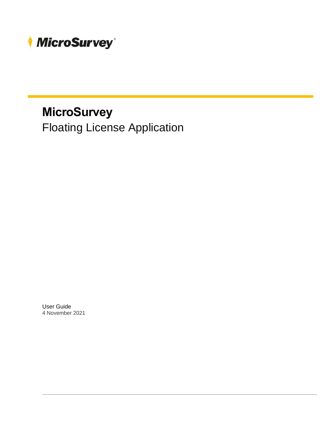

Floating License Application

User Guide 4 November 2021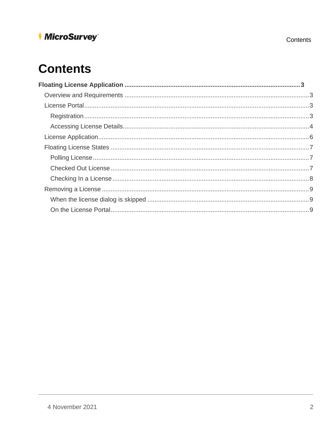# **Contents**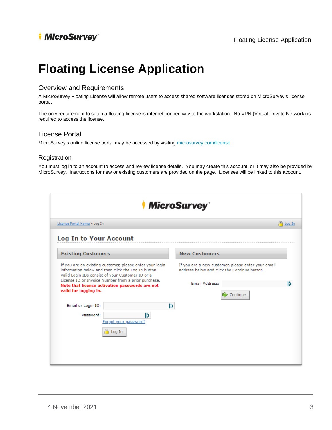# <span id="page-2-0"></span>**Floating License Application**

#### <span id="page-2-1"></span>Overview and Requirements

A MicroSurvey Floating License will allow remote users to access shared software licenses stored on MicroSurvey's license portal.

The only requirement to setup a floating license is internet connectivity to the workstation. No VPN (Virtual Private Network) is required to access the license.

### <span id="page-2-2"></span>License Portal

MicroSurvey's online license portal may be accessed by visitin[g microsurvey.com/license.](https://www.microsurvey.com/license)

#### <span id="page-2-3"></span>Registration

You must log in to an account to access and review license details. You may create this account, or it may also be provided by MicroSurvey. Instructions for new or existing customers are provided on the page. Licenses will be linked to this account.

| <i>MicroSurvey</i>                                                                                                                                                                                                                                                                                    |                                                                                                                                              |  |  |
|-------------------------------------------------------------------------------------------------------------------------------------------------------------------------------------------------------------------------------------------------------------------------------------------------------|----------------------------------------------------------------------------------------------------------------------------------------------|--|--|
| License Portal Home » Log In                                                                                                                                                                                                                                                                          | $^{(n)}$ Log In                                                                                                                              |  |  |
| <b>Log In to Your Account</b>                                                                                                                                                                                                                                                                         |                                                                                                                                              |  |  |
| <b>Existing Customers</b>                                                                                                                                                                                                                                                                             | <b>New Customers</b>                                                                                                                         |  |  |
| If you are an existing customer, please enter your login<br>information below and then click the Log In button.<br>Valid Login IDs consist of your Customer ID or a<br>License ID or Invoice Number from a prior purchase.<br>Note that license activation passwords are not<br>valid for logging in. | If you are a new customer, please enter your email<br>address below and click the Continue button.<br><b>Email Address:</b><br>N<br>Continue |  |  |
| Email or Login ID:<br>B<br>Password:<br>Forgot your password?<br>Log In                                                                                                                                                                                                                               | ľ                                                                                                                                            |  |  |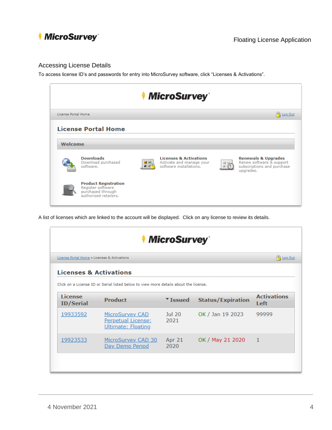

#### <span id="page-3-0"></span>Accessing License Details

To access license ID's and passwords for entry into MicroSurvey software, click "Licenses & Activations".



A list of licenses which are linked to the account will be displayed. Click on any license to review its details.

| <i>MicroSurvey</i>                           |                                                                                                        |                |                          |                            |
|----------------------------------------------|--------------------------------------------------------------------------------------------------------|----------------|--------------------------|----------------------------|
| License Portal Home » Licenses & Activations |                                                                                                        |                |                          | <sup>2</sup> Log Out       |
|                                              | <b>Licenses &amp; Activations</b>                                                                      |                |                          |                            |
| <b>License</b><br><b>ID/Serial</b>           | Click on a License ID or Serial listed below to view more details about the license.<br><b>Product</b> | VIssued        | <b>Status/Expiration</b> | <b>Activations</b><br>Left |
| 19933592                                     | MicroSurvey CAD<br>Perpetual License;<br>Ultimate; Floating                                            | Jul 20<br>2021 | OK / Jan 19 2023         | 99999                      |
| 19923533                                     | MicroSurvey CAD 30<br>Day Demo Period                                                                  | Apr 21<br>2020 | OK / May 21 2020         | $\vert$ 1                  |
|                                              |                                                                                                        |                |                          |                            |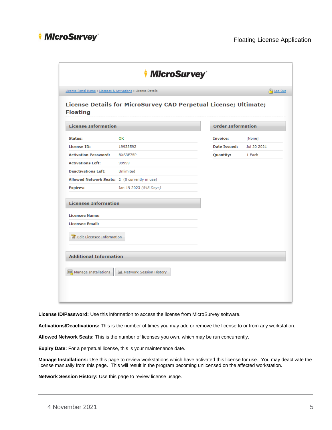|                                    | License Portal Home » Licenses & Activations » License Details   |                          | <sup>(e)</sup> Log Out |
|------------------------------------|------------------------------------------------------------------|--------------------------|------------------------|
| <b>Floating</b>                    | License Details for MicroSurvey CAD Perpetual License; Ultimate; |                          |                        |
| <b>License Information</b>         |                                                                  | <b>Order Information</b> |                        |
| Status:                            | OK                                                               | <b>Invoice:</b>          | [None]                 |
| License ID:                        | 19933592                                                         | <b>Date Issued:</b>      | Jul 20 2021            |
| <b>Activation Password:</b>        | BXS3F75P                                                         | <b>Quantity:</b>         | 1 Each                 |
| <b>Activations Left:</b>           | 99999                                                            |                          |                        |
| <b>Deactivations Left:</b>         | Unlimited                                                        |                          |                        |
|                                    | Allowed Network Seats: 2 (0 currently in use)                    |                          |                        |
| <b>Expires:</b>                    | Jan 19 2023 (548 Days)                                           |                          |                        |
| <b>Licensee Information</b>        |                                                                  |                          |                        |
| <b>Licensee Name:</b>              |                                                                  |                          |                        |
| <b>Licensee Email:</b>             |                                                                  |                          |                        |
| <b>Z</b> Edit Licensee Information |                                                                  |                          |                        |
| <b>Additional Information</b>      |                                                                  |                          |                        |
| ■■ Manage Installations            | III Network Session History                                      |                          |                        |

**License ID/Password:** Use this information to access the license from MicroSurvey software.

**Activations/Deactivations:** This is the number of times you may add or remove the license to or from any workstation.

**Allowed Network Seats:** This is the number of licenses you own, which may be run concurrently.

**Expiry Date:** For a perpetual license, this is your maintenance date.

**Manage Installations:** Use this page to review workstations which have activated this license for use. You may deactivate the license manually from this page. This will result in the program becoming unlicensed on the affected workstation.

**Network Session History:** Use this page to review license usage.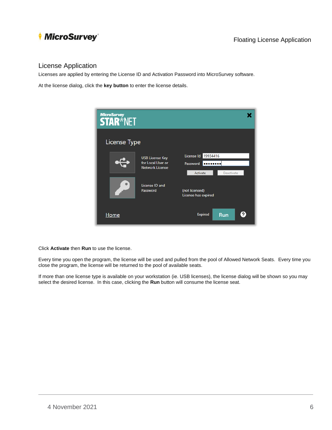### <span id="page-5-0"></span>License Application

Licenses are applied by entering the License ID and Activation Password into MicroSurvey software.

At the license dialog, click the **key button** to enter the license details.



Click **Activate** then **Run** to use the license.

Every time you open the program, the license will be used and pulled from the pool of Allowed Network Seats. Every time you close the program, the license will be returned to the pool of available seats.

If more than one license type is available on your workstation (ie. USB licenses), the license dialog will be shown so you may select the desired license. In this case, clicking the **Run** button will consume the license seat.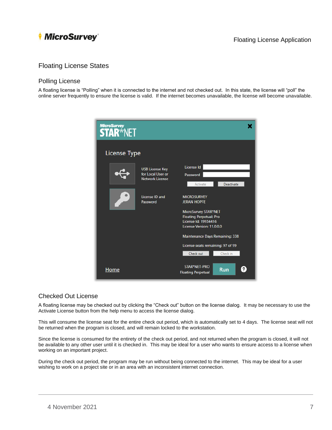

### <span id="page-6-0"></span>Floating License States

#### <span id="page-6-1"></span>Polling License

A floating license is "Polling" when it is connected to the internet and not checked out. In this state, the license will "poll" the online server frequently to ensure the license is valid. If the internet becomes unavailable, the license will become unavailable.

| <b>MicroSurvey</b><br><b>STAR*NET</b> |                                                                       |                                                                                                                            |
|---------------------------------------|-----------------------------------------------------------------------|----------------------------------------------------------------------------------------------------------------------------|
| <b>License Type</b>                   |                                                                       |                                                                                                                            |
|                                       | <b>USB License Key</b><br>for Local User or<br><b>Network License</b> | License Id<br>Password<br>Deactivate<br>Activate                                                                           |
|                                       | License ID and<br>Password                                            | <b>MICROSURVEY</b><br><b>JERAN HOPFE</b><br>MicroSurvey STAR*NET<br><b>Floating Perpetual; Pro</b><br>License Id: 19934416 |
|                                       |                                                                       | License Version: 11.0.0.0<br>Maintenance Days Remaining: 338                                                               |
|                                       |                                                                       | License seats remaining: 97 of 99<br>Check in<br>Check out                                                                 |
| <u>Home</u>                           |                                                                       | STAR*NET-PRO<br>?<br><b>Run</b><br><b>Floating Perpetual</b>                                                               |

#### <span id="page-6-2"></span>Checked Out License

A floating license may be checked out by clicking the "Check out" button on the license dialog. It may be necessary to use the Activate License button from the help menu to access the license dialog.

This will consume the license seat for the entire check out period, which is automatically set to 4 days. The license seat will not be returned when the program is closed, and will remain locked to the workstation.

Since the license is consumed for the entirety of the check out period, and not returned when the program is closed, it will not be available to any other user until it is checked in. This may be ideal for a user who wants to ensure access to a license when working on an important project.

During the check out period, the program may be run without being connected to the internet. This may be ideal for a user wishing to work on a project site or in an area with an inconsistent internet connection.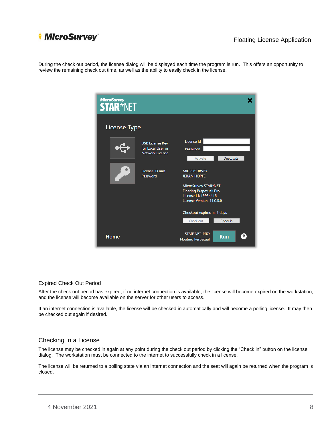

### Floating License Application

During the check out period, the license dialog will be displayed each time the program is run. This offers an opportunity to review the remaining check out time, as well as the ability to easily check in the license.

| MicroSurvey<br><b>STAR</b> *NET |                                                                       |                                                                                                                            |
|---------------------------------|-----------------------------------------------------------------------|----------------------------------------------------------------------------------------------------------------------------|
| <b>License Type</b>             |                                                                       |                                                                                                                            |
|                                 | <b>USB License Key</b><br>for Local User or<br><b>Network License</b> | License Id<br>Password<br>Deactivate<br>Activate                                                                           |
|                                 | License ID and<br>Password                                            | <b>MICROSURVEY</b><br><b>JERAN HOPFE</b><br>MicroSurvey STAR*NET<br><b>Floating Perpetual; Pro</b><br>License Id: 19934416 |
|                                 |                                                                       | License Version: 11.0.0.0<br>Checkout expires in: 4 days<br>Check out<br>Check in                                          |
| <u>Home</u>                     |                                                                       | STAR*NET-PRO<br><b>Run</b><br><b>Floating Perpetual</b>                                                                    |

#### Expired Check Out Period

After the check out period has expired, if no internet connection is available, the license will become expired on the workstation, and the license will become available on the server for other users to access.

If an internet connection is available, the license will be checked in automatically and will become a polling license. It may then be checked out again if desired.

#### <span id="page-7-0"></span>Checking In a License

The license may be checked in again at any point during the check out period by clicking the "Check in" button on the license dialog. The workstation must be connected to the internet to successfully check in a license.

The license will be returned to a polling state via an internet connection and the seat will again be returned when the program is closed.